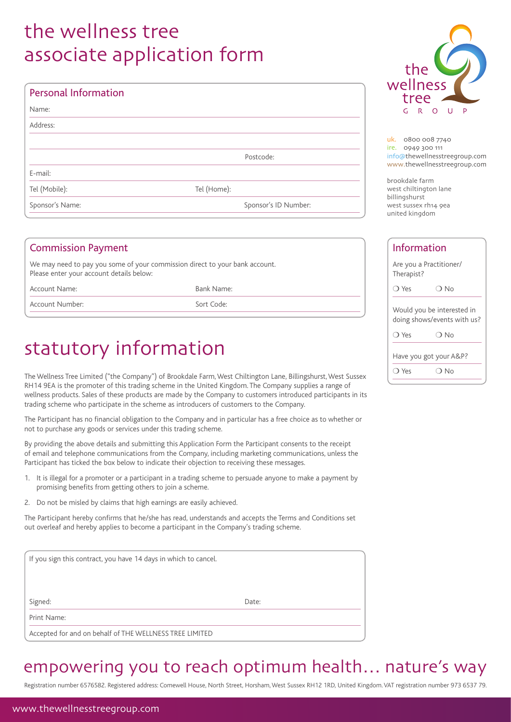## the wellness tree associate application form

| <b>Personal Information</b> |                      |
|-----------------------------|----------------------|
| Name:                       |                      |
| Address:                    |                      |
|                             |                      |
|                             | Postcode:            |
| E-mail:                     |                      |
| Tel (Mobile):               | Tel (Home):          |
| Sponsor's Name:             | Sponsor's ID Number: |

| <b>Commission Payment</b>                                                                                               |            | Info             |
|-------------------------------------------------------------------------------------------------------------------------|------------|------------------|
| We may need to pay you some of your commission direct to your bank account.<br>Please enter your account details below: |            | Are yo<br>Therap |
| Account Name:                                                                                                           | Bank Name: | C Yes            |
| Account Number:                                                                                                         | Sort Code: | Would            |
|                                                                                                                         |            | doing            |

## statutory information

The Wellness Tree Limited ("the Company") of Brookdale Farm, West Chiltington Lane, Billingshurst, West Sussex RH14 9EA is the promoter of this trading scheme in the United Kingdom. The Company supplies a range of wellness products. Sales of these products are made by the Company to customers introduced participants in its trading scheme who participate in the scheme as introducers of customers to the Company.

The Participant has no financial obligation to the Company and in particular has a free choice as to whether or not to purchase any goods or services under this trading scheme.

By providing the above details and submitting this Application Form the Participant consents to the receipt of email and telephone communications from the Company, including marketing communications, unless the Participant has ticked the box below to indicate their objection to receiving these messages.

- 1. It is illegal for a promoter or a participant in a trading scheme to persuade anyone to make a payment by promising benefits from getting others to join a scheme.
- 2. Do not be misled by claims that high earnings are easily achieved.

The Participant hereby confirms that he/she has read, understands and accepts the Terms and Conditions set out overleaf and hereby applies to become a participant in the Company's trading scheme.

| If you sign this contract, you have 14 days in which to cancel. |       |
|-----------------------------------------------------------------|-------|
|                                                                 |       |
|                                                                 |       |
| Signed:                                                         | Date: |
| Print Name:                                                     |       |
| Accepted for and on behalf of THE WELLNESS TREE LIMITED         |       |

## empowering you to reach optimum health… nature's way

Registration number 6576582. Registered address: Comewell House, North Street, Horsham, West Sussex RH12 1RD, United Kingdom. VAT registration number 973 6537 79.



uk. 0800 008 7740 ire. 0949 300 111 info@thewellnesstreegroup.com www.thewellnesstreegroup.com

brookdale farm west chiltington lane billingshurst west sussex rh14 9ea united kingdom

| <b>Information</b> |                                                           |  |
|--------------------|-----------------------------------------------------------|--|
| Therapist?         | Are you a Practitioner/                                   |  |
| $\bigcirc$ Yes     | ∩ No                                                      |  |
|                    | Would you be interested in<br>doing shows/events with us? |  |
| $\bigcap$ Yes      | ∩ No                                                      |  |
|                    | Have you got your A&P?                                    |  |
| ) Yes              | No.                                                       |  |